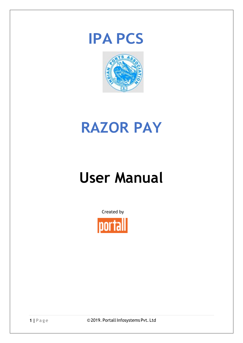



# **RAZOR PAY**

# **User Manual**

Created by



1 | Page **candidate C2019. Portall Infosystems Pvt. Ltd**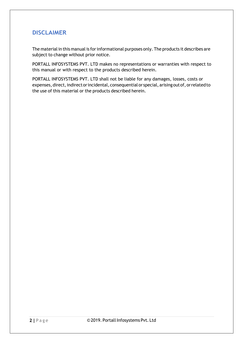#### **DISCLAIMER**

The material in this manual is for informational purposes only. The products it describes are subject to change without prior notice.

PORTALL INFOSYSTEMS PVT. LTD makes no representations or warranties with respect to this manual or with respect to the products described herein.

PORTALL INFOSYSTEMS PVT. LTD shall not be liable for any damages, losses, costs or expenses, direct, indirect or incidental, consequential or special, arising out of, or related to the use of this material or the products described herein.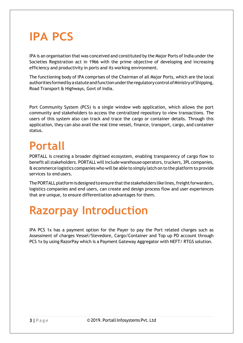## **IPA PCS**

IPA is an organisation that was conceived and constituted by the Major Ports of India under the Societies Registration act in 1966 with the prime objective of developing and increasing efficiency and productivity in ports and its working environment.

The functioning body of IPA comprises of the Chairman of all Major Ports, which are the local authorities formed by a statute and function under the regulatory control of Ministry of Shipping, Road Transport & Highways, Govt of India.

Port Community System (PCS) is a single window web application, which allows the port community and stakeholders to access the centralized repository to view transactions. The users of this system also can track and trace the cargo or container details. Through this application, they can also avail the real time vessel, finance, transport, cargo, and container status.

### **Portall**

PORTALL is creating a broader digitised ecosystem, enabling transparency of cargo flow to benefit all stakeholders. PORTALL will include warehouse operators, truckers, 3PL companies, & ecommerce logistics companies who will be able to simply latch on to the platform to provide services to end users.

The PORTALL platform is designed to ensure that the stakeholders like lines, freight forwarders, logistics companies and end users, can create and design process flow and user experiences that are unique, to ensure differentiation advantages for them.

## **Razorpay Introduction**

IPA PCS 1x has a payment option for the Payer to pay the Port related charges such as Assessment of charges Vessel/Stevedore, Cargo/Container and Top up PD account through PCS 1x by using RazorPay which is a Payment Gateway Aggregator with NEFT/ RTGS solution.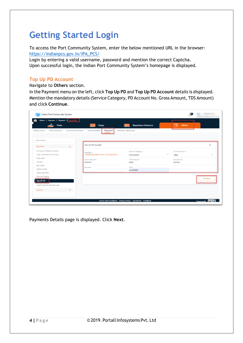### **Getting Started Login**

To access the Port Community System, enter the below mentioned URL in the browser: [https://indianpcs.gov.in/IPA\\_PCS/](https://indianpcs.gov.in/IPA_PCS/)

Login by entering a valid username, password and mention the correct Captcha. Upon successful login, the Indian Port Community System's homepage is displayed.

#### **Top Up PD Account**

Navigate to **Others** section.

In the Payment menu on the left, click **Top Up PD** and **Top Up PD Account** details is displayed. Mention the mandatory details (Service Category, PD Account No. Gross Amount, TDS Amount) and click **Continue**.

| Indian Port Community System<br>Others > Payment > Payment > Top UP PD   |                                      |                                                               | <b>O</b>                   |                          |
|--------------------------------------------------------------------------|--------------------------------------|---------------------------------------------------------------|----------------------------|--------------------------|
| <b>Trade</b>                                                             | [IIII]<br>Cargo                      | <b>Regulatory Clearance</b>                                   | Others<br>ᇃ                |                          |
| <b>CFS Activities</b><br><b>Terminal Activities</b><br><b>Admin Area</b> | <b>ICD Activities</b><br>Payment     | <b>Container Booking</b>                                      |                            |                          |
|                                                                          |                                      |                                                               |                            |                          |
| Search Menu                                                              |                                      |                                                               |                            |                          |
| Payment<br>$\sim$                                                        | Top Up PD Account                    |                                                               |                            | $\hat{\phantom{a}}$      |
| PD Account Balance Details                                               | Port ID *:                           | Service Category *                                            | PD Account No. *           |                          |
| Daily Transaction Summary                                                | Jawaharlal Nehru Port Trust [INJNP1] | <b>CONTAINER</b>                                              | JMB3                       | $\overline{\phantom{a}}$ |
| Epayment                                                                 | Gross Amount *                       | <b>TDS Amount *</b>                                           | Net Amount                 |                          |
| Invoice                                                                  | 690000                               | 6900                                                          | 683100                     |                          |
| Pay Order                                                                | Remarks                              | <b>VCN</b>                                                    |                            |                          |
| Refund Order                                                             |                                      | vcn123456                                                     |                            |                          |
| Verify Payment                                                           |                                      |                                                               |                            |                          |
| Payment Status                                                           |                                      |                                                               |                            | Continue                 |
| Top UP PD                                                                |                                      |                                                               |                            |                          |
| Inland Way Bill Web Services                                             |                                      |                                                               |                            |                          |
| Upload<br>$\checkmark$                                                   |                                      |                                                               |                            |                          |
|                                                                          |                                      |                                                               |                            |                          |
|                                                                          |                                      |                                                               |                            |                          |
|                                                                          |                                      | Terms And Conditions   Privacy Policy   Disclaimer   Feedback | Powered By <b>Intriall</b> |                          |

Payments Details page is displayed. Click **Next**.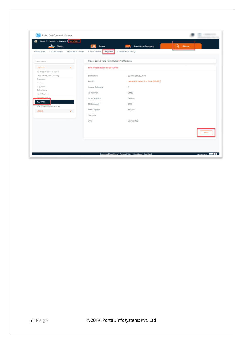| Trade                                                             | <b>THE</b><br>Cargo                                  | <b>Regulatory Clearance</b>          | <b>Others</b><br>$\bullet$ |
|-------------------------------------------------------------------|------------------------------------------------------|--------------------------------------|----------------------------|
| <b>CFS Activities</b><br><b>Terminal Activities</b><br>Admin Area | <b>ICD Activities</b><br>Payment                     | Container Booking                    |                            |
| Search Menu                                                       | Provide Below Details, Fields Marked * Are Mandatory |                                      |                            |
| Payment<br>$\sim$                                                 | Note: Please Notice The Bill Number                  |                                      |                            |
| PD Account Balance Details                                        |                                                      |                                      |                            |
| Daily Transaction Summary                                         | <b>Bill Number</b>                                   | 2019072549822638                     |                            |
| Epayment                                                          | Port ID                                              | Jawaharlal Nehru Port Trust [INJNP1] |                            |
| Invoice                                                           |                                                      |                                      |                            |
| Pay Order                                                         | Service Category                                     | C                                    |                            |
| Refund Order                                                      | PD Account                                           | JMB3                                 |                            |
| Verify Payment<br><b>Payment Status</b>                           |                                                      |                                      |                            |
| Top UP PD                                                         | Gross Amount                                         | 690000                               |                            |
|                                                                   | <b>TDS Amount</b>                                    | 6900                                 |                            |
| Inland Way Bill Web Services                                      | <b>Total Payable</b>                                 | 683100                               |                            |
| <b>Upload</b><br>v                                                |                                                      |                                      |                            |
|                                                                   | Remarks                                              |                                      |                            |
|                                                                   | VCN                                                  | Vcn123456                            |                            |
|                                                                   |                                                      |                                      |                            |
|                                                                   |                                                      |                                      |                            |
|                                                                   |                                                      |                                      | Next                       |
|                                                                   |                                                      |                                      |                            |
|                                                                   |                                                      |                                      |                            |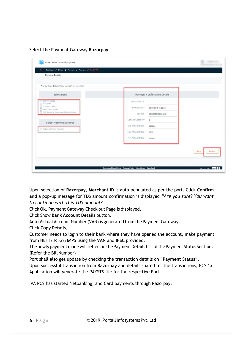Select the Payment Gateway **Razorpay**.

| <b>Payment Details</b>                               |                   |                                     |  |
|------------------------------------------------------|-------------------|-------------------------------------|--|
| Provide Below Details, Fields Marked * Are Mandatory |                   |                                     |  |
| Select Bank                                          |                   | <b>Payment Confirmation Details</b> |  |
| <b>O</b> Bank Of Baroda<br>AXIS Bank                 | MerchantID*       |                                     |  |
| <b>B</b> ICICI (ICICI Bank)<br>HDFC (HDFC Bank)      | Billing Date *    | 25/07/2019 15:23:24                 |  |
| (iii) IDBI (Industrial Development Bank Of India)    | Bill No.          | 2019072549822638                    |  |
| <b>Select Payment Gateway</b>                        | Service Category  | $\mathsf{C}$                        |  |
| Razorpay(Testing Purpose)                            | Total Amount (Rs) | 690000                              |  |
|                                                      | TDS Amount (Rs)   | 6900                                |  |
|                                                      | Net Amount (Rs)   | 683100                              |  |
|                                                      |                   |                                     |  |
|                                                      |                   |                                     |  |

Upon selection of **Razorpay**, **Merchant ID** is auto-populated as per the port. Click **Confirm and** a pop-up message for TDS amount confirmation is displayed *"Are you sure? You want to continue with this TDS amount?*

Click **Ok**. Payment Gateway Check out Page is displayed.

Click Show **Bank Account Details** button.

Auto Virtual Account Number(VAN) is generated from the Payment Gateway.

#### Click **Copy Details.**

Customer needs to login to their bank where they have opened the account, make payment from NEFT/ RTGS/IMPS using the **VAN** and **IFSC** provided.

The newly payment made will reflect in the Payment Details List of the Payment Status Section. (Refer the Bill Number)

Port shall also get update by checking the transaction details on "**Payment Status**".

Upon successful transaction from **Razorpay** and details shared for the transactions, PCS 1x Application will generate the PAYSTS file for the respective Port.

IPA PCS has started Netbanking, and Card payments through Razorpay.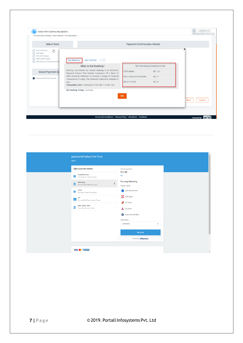| <b>Select Bank</b>                                                                                                                          |                                                                                                                               | <b>Payment Confirmation Details</b> |                             |                        |
|---------------------------------------------------------------------------------------------------------------------------------------------|-------------------------------------------------------------------------------------------------------------------------------|-------------------------------------|-----------------------------|------------------------|
| <b>Bank Of Baroda</b><br>্চি<br><b>AXIS Bank</b><br><b>ICICI (ICICI Bank)</b><br>HDFC (HDFC Bank)<br><b>IDBI</b> (Industrial Development Ba | NEFT/RTGS<br><b>Net Banking</b>                                                                                               |                                     |                             | X                      |
|                                                                                                                                             | What Is Net Banking?                                                                                                          |                                     | Net Banking Convenience Fee |                        |
| <b>Select Payment Ga</b>                                                                                                                    | Banking, Also Known As Internet Banking, Is An Electronic<br>Payment System That Enables Customers Of A Bank Or               | <b>HDFC BANK -</b>                  | RS. 12/-                    |                        |
| Razorpay(Testing Purpose)                                                                                                                   | Other Financial Institution To Conduct A Range Of Financial                                                                   | ICICI, AXIS & KOTAK BANK -          | RS. 7/-                     |                        |
|                                                                                                                                             | Transactions Through The Financial Institution's Website Or<br>App.<br>Transaction Limit: Transaction From INR 1 To INR 10cr. | SBI & OTHERS -                      | RS. 8/-                     |                        |
|                                                                                                                                             | Net Banking Timing: 24 Hours                                                                                                  |                                     |                             |                        |
|                                                                                                                                             |                                                                                                                               | OK                                  |                             | <b>Back</b><br>Confirm |

| Jawaharlal Nehru Port Trust<br>INJNP1                                                                                                                                                                                                                                                                                                                |                                                                                                                                                                                                                                                                                                                          |  |
|------------------------------------------------------------------------------------------------------------------------------------------------------------------------------------------------------------------------------------------------------------------------------------------------------------------------------------------------------|--------------------------------------------------------------------------------------------------------------------------------------------------------------------------------------------------------------------------------------------------------------------------------------------------------------------------|--|
| Select a payment method<br>Credit/Debit Card<br>$\equiv$<br>Visa, Mastercard, Maestro, Rupay<br>Netbanking<br>$\rightarrow$<br><b>THE</b> Pay with Internet Banking Account<br>Wallet<br>C<br>Pay using a Wallet (Coming Soon)<br>UPI<br><b>UPP</b><br>Pay using BHIM, Tez and other UPI apps<br>NEFT / RTGS / IMPS<br>Pay via Bank account transfer | Amount payable is<br>₹11.00<br><b>COLLEGE</b><br>Pay using Netbanking<br>Choose a bank<br>State Bank of India<br>$\begin{bmatrix} 1 \\ 2 \end{bmatrix}$ HDFC Bank<br>CICI Bank<br>Axis Bank<br>Kotak Mahindra Bank<br>Other Banks<br>Select Bank<br>$\blacktriangledown$<br><b>PAY NOW</b><br>Powered by <b>Razorpay</b> |  |
| <b>VISA With Company</b>                                                                                                                                                                                                                                                                                                                             |                                                                                                                                                                                                                                                                                                                          |  |